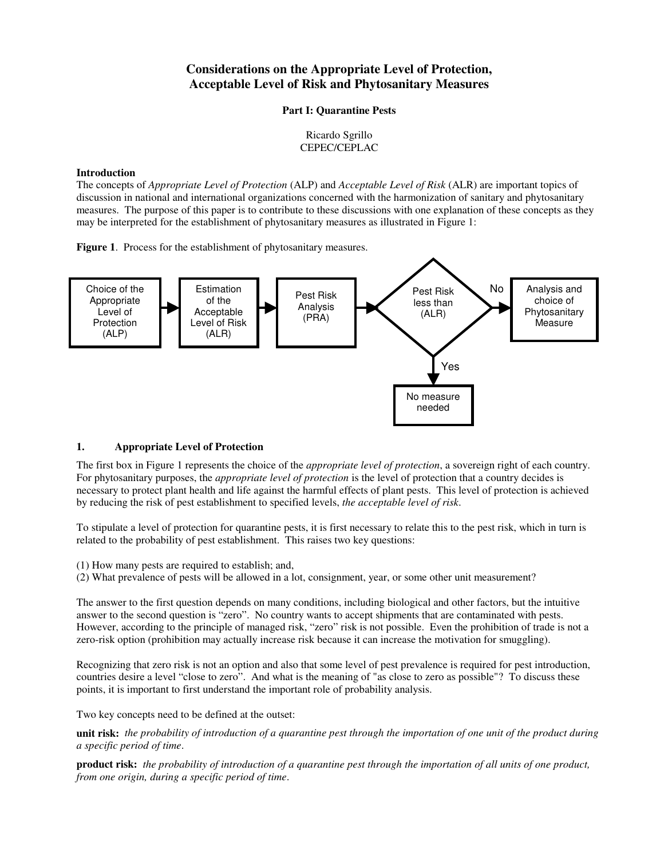# **Considerations on the Appropriate Level of Protection, Acceptable Level of Risk and Phytosanitary Measures**

### **Part I: Quarantine Pests**

# Ricardo Sgrillo CEPEC/CEPLAC

# **Introduction**

The concepts of *Appropriate Level of Protection* (ALP) and *Acceptable Level of Risk* (ALR) are important topics of discussion in national and international organizations concerned with the harmonization of sanitary and phytosanitary measures. The purpose of this paper is to contribute to these discussions with one explanation of these concepts as they may be interpreted for the establishment of phytosanitary measures as illustrated in Figure 1:

**Figure 1**. Process for the establishment of phytosanitary measures.



# **1. Appropriate Level of Protection**

The first box in Figure 1 represents the choice of the *appropriate level of protection*, a sovereign right of each country. For phytosanitary purposes, the *appropriate level of protection* is the level of protection that a country decides is necessary to protect plant health and life against the harmful effects of plant pests. This level of protection is achieved by reducing the risk of pest establishment to specified levels, *the acceptable level of risk*.

To stipulate a level of protection for quarantine pests, it is first necessary to relate this to the pest risk, which in turn is related to the probability of pest establishment. This raises two key questions:

(1) How many pests are required to establish; and,

(2) What prevalence of pests will be allowed in a lot, consignment, year, or some other unit measurement?

The answer to the first question depends on many conditions, including biological and other factors, but the intuitive answer to the second question is "zero". No country wants to accept shipments that are contaminated with pests. However, according to the principle of managed risk, "zero" risk is not possible. Even the prohibition of trade is not a zero-risk option (prohibition may actually increase risk because it can increase the motivation for smuggling).

Recognizing that zero risk is not an option and also that some level of pest prevalence is required for pest introduction, countries desire a level "close to zero". And what is the meaning of "as close to zero as possible"? To discuss these points, it is important to first understand the important role of probability analysis.

Two key concepts need to be defined at the outset:

**unit risk:** *the probability of introduction of a quarantine pest through the importation of one unit of the product during a specific period of time*.

**product risk:** *the probability of introduction of a quarantine pest through the importation of all units of one product, from one origin, during a specific period of time*.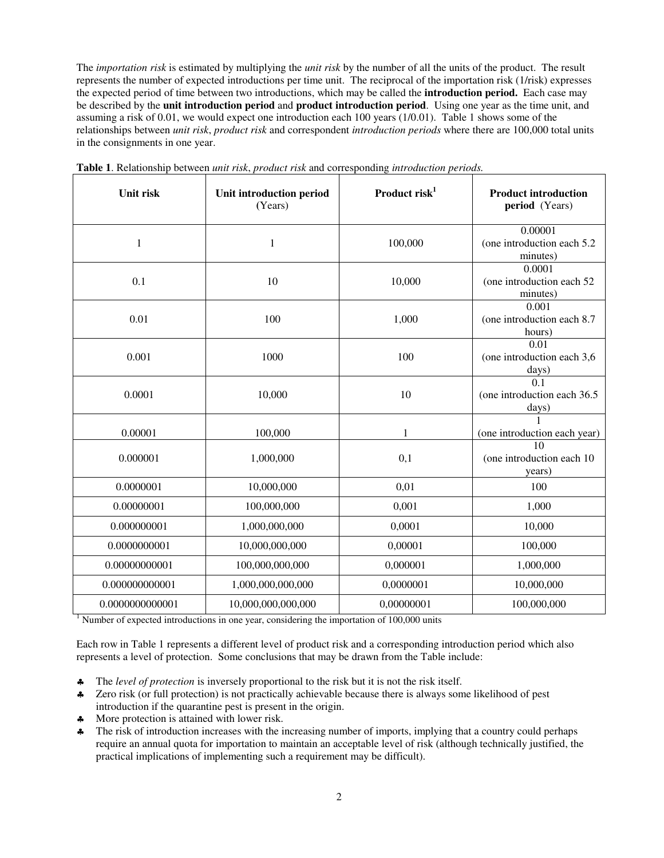The *importation risk* is estimated by multiplying the *unit risk* by the number of all the units of the product. The result represents the number of expected introductions per time unit. The reciprocal of the importation risk (1/risk) expresses the expected period of time between two introductions, which may be called the **introduction period.** Each case may be described by the **unit introduction period** and **product introduction period**. Using one year as the time unit, and assuming a risk of 0.01, we would expect one introduction each 100 years (1/0.01). Table 1 shows some of the relationships between *unit risk*, *product risk* and correspondent *introduction periods* where there are 100,000 total units in the consignments in one year.

| Unit risk       | Unit introduction period<br>(Years) | Product risk $1$ | <b>Product introduction</b><br>period (Years)                        |
|-----------------|-------------------------------------|------------------|----------------------------------------------------------------------|
| $\mathbf{1}$    | 1                                   | 100,000          | 0.00001<br>(one introduction each 5.2)<br>minutes)                   |
| 0.1             | 10                                  | 10,000           | 0.0001<br>(one introduction each 52)<br>minutes)                     |
| 0.01            | 100                                 | 1,000            | 0.001<br>(one introduction each 8.7<br>hours)                        |
| 0.001           | 1000                                | 100              | 0.01<br>(one introduction each 3,6<br>days)                          |
| 0.0001          | 10,000                              | 10               | $\overline{0.1}$<br>(one introduction each 36.5<br>$\frac{days)}{1}$ |
| 0.00001         | 100,000                             | 1                | (one introduction each year)                                         |
| 0.000001        | 1,000,000                           | 0,1              | 10<br>(one introduction each 10)<br>years)                           |
| 0.0000001       | 10,000,000                          | 0,01             | 100                                                                  |
| 0.00000001      | 100,000,000                         | 0,001            | 1,000                                                                |
| 0.000000001     | 1,000,000,000                       | 0,0001           | 10,000                                                               |
| 0.0000000001    | 10,000,000,000                      | 0,00001          | 100,000                                                              |
| 0.00000000001   | 100,000,000,000                     | 0,000001         | 1,000,000                                                            |
| 0.000000000001  | 1,000,000,000,000                   | 0,0000001        | 10,000,000                                                           |
| 0.0000000000001 | 10,000,000,000,000                  | 0,00000001       | 100,000,000                                                          |

**Table 1**. Relationship between *unit risk*, *product risk* and corresponding *introduction periods.*

<sup>1</sup> Number of expected introductions in one year, considering the importation of  $100,000$  units

Each row in Table 1 represents a different level of product risk and a corresponding introduction period which also represents a level of protection. Some conclusions that may be drawn from the Table include:

- ♣ The *level of protection* is inversely proportional to the risk but it is not the risk itself.
- ♣ Zero risk (or full protection) is not practically achievable because there is always some likelihood of pest introduction if the quarantine pest is present in the origin.
- ♣ More protection is attained with lower risk.
- ♣ The risk of introduction increases with the increasing number of imports, implying that a country could perhaps require an annual quota for importation to maintain an acceptable level of risk (although technically justified, the practical implications of implementing such a requirement may be difficult).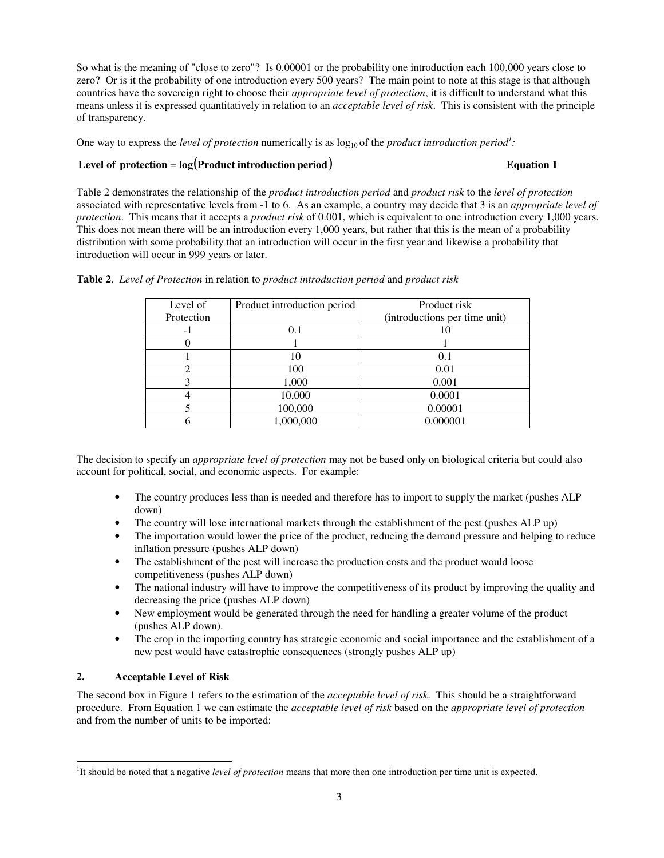So what is the meaning of "close to zero"? Is 0.00001 or the probability one introduction each 100,000 years close to zero? Or is it the probability of one introduction every 500 years? The main point to note at this stage is that although countries have the sovereign right to choose their *appropriate level of protection*, it is difficult to understand what this means unless it is expressed quantitatively in relation to an *acceptable level of risk*. This is consistent with the principle of transparency.

One way to express the *level of protection* numerically is as  $log_{10}$  of the *product introduction period<sup>1</sup>*:

# **Level** of protection =  $\log(\text{Product introduction period})$  **Equation 1**

Table 2 demonstrates the relationship of the *product introduction period* and *product risk* to the *level of protection* associated with representative levels from -1 to 6. As an example, a country may decide that 3 is an *appropriate level of protection*. This means that it accepts a *product risk* of 0.001, which is equivalent to one introduction every 1,000 years. This does not mean there will be an introduction every 1,000 years, but rather that this is the mean of a probability distribution with some probability that an introduction will occur in the first year and likewise a probability that introduction will occur in 999 years or later.

| Level of   | Product introduction period | Product risk                  |
|------------|-----------------------------|-------------------------------|
| Protection |                             | (introductions per time unit) |
| - 1        | 0.1                         |                               |
|            |                             |                               |
|            | 10                          | 0.1                           |
|            | 100                         | 0.01                          |
|            | 1,000                       | 0.001                         |
|            | 10,000                      | 0.0001                        |
|            | 100,000                     | 0.00001                       |
|            | 1,000,000                   | 0.000001                      |

**Table 2**. *Level of Protection* in relation to *product introduction period* and *product risk*

The decision to specify an *appropriate level of protection* may not be based only on biological criteria but could also account for political, social, and economic aspects. For example:

- The country produces less than is needed and therefore has to import to supply the market (pushes ALP down)
- The country will lose international markets through the establishment of the pest (pushes ALP up)
- The importation would lower the price of the product, reducing the demand pressure and helping to reduce inflation pressure (pushes ALP down)
- The establishment of the pest will increase the production costs and the product would loose competitiveness (pushes ALP down)
- The national industry will have to improve the competitiveness of its product by improving the quality and decreasing the price (pushes ALP down)
- New employment would be generated through the need for handling a greater volume of the product (pushes ALP down).
- The crop in the importing country has strategic economic and social importance and the establishment of a new pest would have catastrophic consequences (strongly pushes ALP up)

# **2. Acceptable Level of Risk**

 $\overline{a}$ 

The second box in Figure 1 refers to the estimation of the *acceptable level of risk*. This should be a straightforward procedure. From Equation 1 we can estimate the *acceptable level of risk* based on the *appropriate level of protection* and from the number of units to be imported:

<sup>&</sup>lt;sup>1</sup>It should be noted that a negative *level of protection* means that more then one introduction per time unit is expected.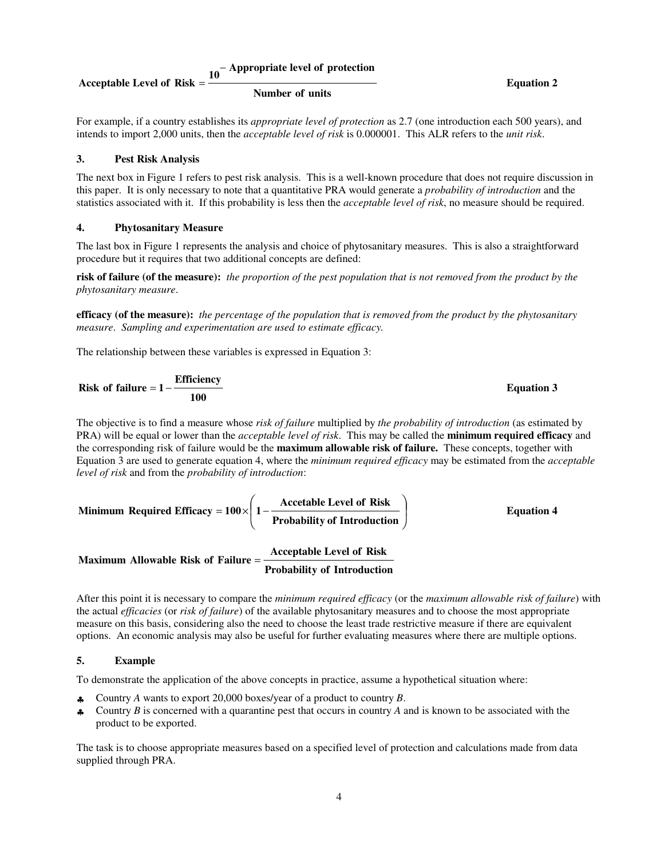# **Appropriate level of protection <sup>10</sup>** −

### **Acceptable Level of Risk**

**Number of units**

**Equation 2** 

For example, if a country establishes its *appropriate level of protection* as 2.7 (one introduction each 500 years), and intends to import 2,000 units, then the *acceptable level of risk* is 0.000001. This ALR refers to the *unit risk*.

#### **3. Pest Risk Analysis**

The next box in Figure 1 refers to pest risk analysis. This is a well-known procedure that does not require discussion in this paper. It is only necessary to note that a quantitative PRA would generate a *probability of introduction* and the statistics associated with it. If this probability is less then the *acceptable level of risk*, no measure should be required.

#### **4. Phytosanitary Measure**

The last box in Figure 1 represents the analysis and choice of phytosanitary measures. This is also a straightforward procedure but it requires that two additional concepts are defined:

**risk of failure (of the measure):** *the proportion of the pest population that is not removed from the product by the phytosanitary measure*.

**efficacy (of the measure):** *the percentage of the population that is removed from the product by the phytosanitary measure*. *Sampling and experimentation are used to estimate efficacy.* 

The relationship between these variables is expressed in Equation 3:

Risk of failure 
$$
= 1 - \frac{Efficiency}{100}
$$
 Equation 3

The objective is to find a measure whose *risk of failure* multiplied by *the probability of introduction* (as estimated by PRA) will be equal or lower than the *acceptable level of risk*. This may be called the **minimum required efficacy** and the corresponding risk of failure would be the **maximum allowable risk of failure.** These concepts, together with Equation 3 are used to generate equation 4, where the *minimum required efficacy* may be estimated from the *acceptable level of risk* and from the *probability of introduction*:

Minimum Required Efficiency = 
$$
100 \times \left( 1 - \frac{\text{Accetable Level of Risk}}{\text{Probability of Introduction}} \right)
$$

\nMaximum Allowable Risk of Failure =  $\frac{\text{Acceptable Level of Risk}}{\text{Prepathed } \left( 1 - \frac{\text{Acceptable Level of Risk}}{\text{Prepathed } \left( 1 - \frac{\text{Acceptable Level of Risk}}{\text{Prepathed } \left( 1 - \frac{\text{Acceptable Level of Risk}}{\text{Prepathed } \left( 1 - \frac{\text{Step 1}}{\text{Prepathed } \left( 1 - \frac{\text{Step 2}}{\text{Prepathed } \left( 1 - \frac{\text{Step 3}}{\text{Prepathed } \left( 1 - \frac{\text{Step 4}}{\text{Prepathed } \left( 1 - \frac{\text{Step 5}}{\text{Prepathed } \left( 1 - \frac{\text{Step 6}}{\text{Pregraphed } \left( 1 - \frac{\text{Step 7}}{\text{Pregraphed } \left( 1 - \frac{\text{Step 7}}{\text{Pregraphed } \left( 1 - \frac{\text{Step 8}}{\text{Pregraphed } \left( 1 - \frac{\text{Step 8}}{\text{Pregraphed } \left( 1 - \frac{\text{Step 8}}{\text{Pregraphed } \left( 1 - \frac{\text{Step 8}}{\text{Pregraphed } \left( 1 - \frac{\text{Step 8}}{\text{Pregraphed } \left( 1 - \frac{\text{Step 8}}{\text{Pregraphed } \left( 1 - \frac{\text{Step 8}}{\text{Pregraphed } \left( 1 - \frac{\text{Step 8}}{\text{Pregraphed } \left( 1 - \frac{\text{Step 8}}{\text{Pregraphed } \left( 1 - \frac{\text{Step 8}}{\text{Pregraphed } \left( 1 - \frac{\text{Step 8}}{\text{Pregraphed}} \right)}{\text{Pregraphed } \left( 1 - \frac{\text{Step 8}}{\text{Pregraphed}} \left( 1 - \frac{\text{Step 9}}{\text{Pregraphed}} \left( 1 - \frac{\text{Step 9}}{\text{Pregraphed}} \left( 1 - \frac{\text{Step 9}}{\text{Pregraphed}} \left( 1 - \frac{\text{Step 9}}{\text{Pregraphed}} \left( 1 - \frac{\text{Step 9}}{\text{Pregraphed}} \left( 1 - \frac{\text{Step 9}}{\text{Pregraphed}} \left( 1 - \frac{\text{Step 9}}{\text{Pregraphed}} \left( 1 -$ 

**Probability of Introduction**

After this point it is necessary to compare the *minimum required efficacy* (or the *maximum allowable risk of failure*) with the actual *efficacies* (or *risk of failure*) of the available phytosanitary measures and to choose the most appropriate measure on this basis, considering also the need to choose the least trade restrictive measure if there are equivalent options. An economic analysis may also be useful for further evaluating measures where there are multiple options.

#### **5. Example**

To demonstrate the application of the above concepts in practice, assume a hypothetical situation where:

- ♣ Country *A* wants to export 20,000 boxes/year of a product to country *B*.
- ♣ Country *B* is concerned with a quarantine pest that occurs in country *A* and is known to be associated with the product to be exported.

The task is to choose appropriate measures based on a specified level of protection and calculations made from data supplied through PRA.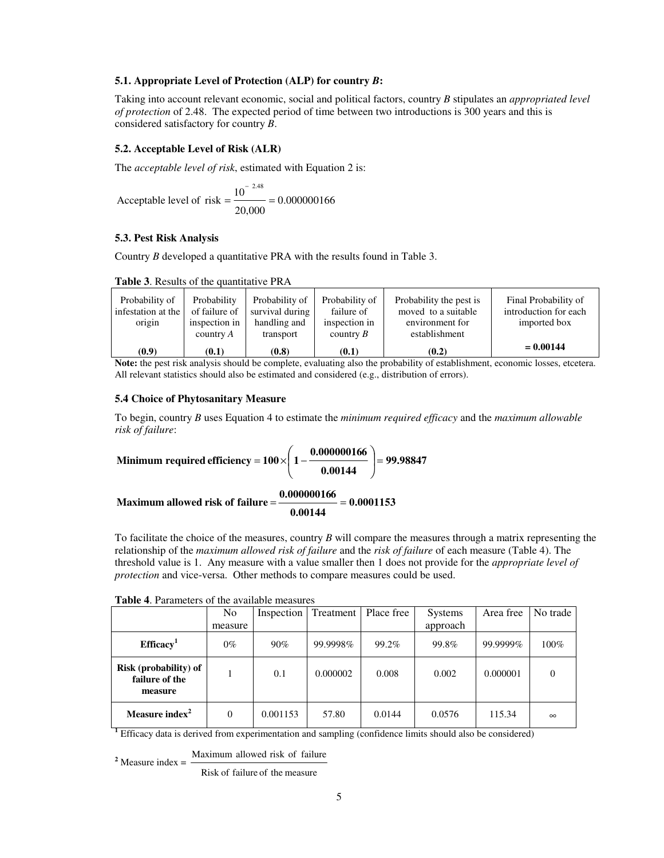#### **5.1. Appropriate Level of Protection (ALP) for country** *B***:**

Taking into account relevant economic, social and political factors, country *B* stipulates an *appropriated level of protection* of 2.48. The expected period of time between two introductions is 300 years and this is considered satisfactory for country *B*.

#### **5.2. Acceptable Level of Risk (ALR)**

The *acceptable level of risk*, estimated with Equation 2 is:

0.000000166 20,000 Acceptable level of risk  $=$   $\frac{10}{10}$ 2.48  $=\frac{1}{2}$  = −

#### **5.3. Pest Risk Analysis**

Country *B* developed a quantitative PRA with the results found in Table 3.

| Probability of<br>infestation at the<br>origin | Probability<br>of failure of<br>inspection in<br>country $A$ | Probability of<br>survival during<br>handling and<br>transport | Probability of<br>failure of<br>inspection in<br>country $B$ | Probability the pest is<br>moved to a suitable<br>environment for<br>establishment | Final Probability of<br>introduction for each<br>imported box |
|------------------------------------------------|--------------------------------------------------------------|----------------------------------------------------------------|--------------------------------------------------------------|------------------------------------------------------------------------------------|---------------------------------------------------------------|
| (0.9)                                          | (0.1)                                                        | (0.8)                                                          | (0.1)                                                        | (0.2)                                                                              | $= 0.00144$                                                   |

**Note:** the pest risk analysis should be complete, evaluating also the probability of establishment, economic losses, etcetera. All relevant statistics should also be estimated and considered (e.g., distribution of errors).

# **5.4 Choice of Phytosanitary Measure**

To begin, country *B* uses Equation 4 to estimate the *minimum required efficacy* and the *maximum allowable risk of failure*:

Minimum required efficiency = 
$$
100 \times \left(1 - \frac{0.000000166}{0.00144}\right)
$$
 = 99.98847

**0.0001153 0.00144 0.000000166 Maximum allowed risk of failure** = =

To facilitate the choice of the measures, country *B* will compare the measures through a matrix representing the relationship of the *maximum allowed risk of failure* and the *risk of failure* of each measure (Table 4). The threshold value is 1. Any measure with a value smaller then 1 does not provide for the *appropriate level of protection* and vice-versa. Other methods to compare measures could be used.

|  | <b>Table 4.</b> Parameters of the available measures |
|--|------------------------------------------------------|
|--|------------------------------------------------------|

|                                                           | N <sub>0</sub> | Inspection | Treatment | Place free | <b>Systems</b> | Area free | No trade |
|-----------------------------------------------------------|----------------|------------|-----------|------------|----------------|-----------|----------|
|                                                           | measure        |            |           |            | approach       |           |          |
| Efficacy <sup>1</sup>                                     | $0\%$          | $90\%$     | 99.9998%  | 99.2%      | 99.8%          | 99.9999%  | 100%     |
| <b>Risk</b> (probability) of<br>failure of the<br>measure |                | 0.1        | 0.000002  | 0.008      | 0.002          | 0.000001  | $\Omega$ |
| Measure index <sup>2</sup>                                | $\Omega$       | 0.001153   | 57.80     | 0.0144     | 0.0576         | 115.34    | $\infty$ |

**<sup>1</sup>** Efficacy data is derived from experimentation and sampling (confidence limits should also be considered)

<sup>2</sup> Measure index  $=$   $\frac{\text{Maximum allowed risk of failure}}{\text{Mean}}$ 

Risk of failure of the measure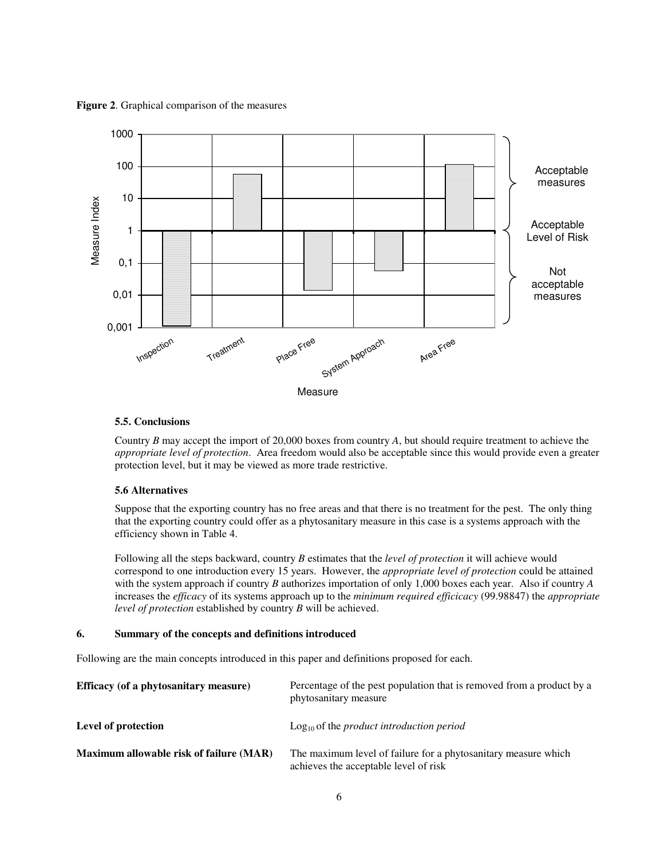**Figure 2**. Graphical comparison of the measures



#### **5.5. Conclusions**

Country *B* may accept the import of 20,000 boxes from country *A*, but should require treatment to achieve the *appropriate level of protection*. Area freedom would also be acceptable since this would provide even a greater protection level, but it may be viewed as more trade restrictive.

#### **5.6 Alternatives**

Suppose that the exporting country has no free areas and that there is no treatment for the pest. The only thing that the exporting country could offer as a phytosanitary measure in this case is a systems approach with the efficiency shown in Table 4.

Following all the steps backward, country *B* estimates that the *level of protection* it will achieve would correspond to one introduction every 15 years. However, the *appropriate level of protection* could be attained with the system approach if country *B* authorizes importation of only 1,000 boxes each year. Also if country *A* increases the *efficacy* of its systems approach up to the *minimum required efficicacy* (99.98847) the *appropriate level of protection* established by country *B* will be achieved.

#### **6. Summary of the concepts and definitions introduced**

Following are the main concepts introduced in this paper and definitions proposed for each.

| Efficacy (of a phytosanitary measure)   | Percentage of the pest population that is removed from a product by a<br>phytosanitary measure          |
|-----------------------------------------|---------------------------------------------------------------------------------------------------------|
| Level of protection                     | $Log10$ of the <i>product introduction period</i>                                                       |
| Maximum allowable risk of failure (MAR) | The maximum level of failure for a phytosanitary measure which<br>achieves the acceptable level of risk |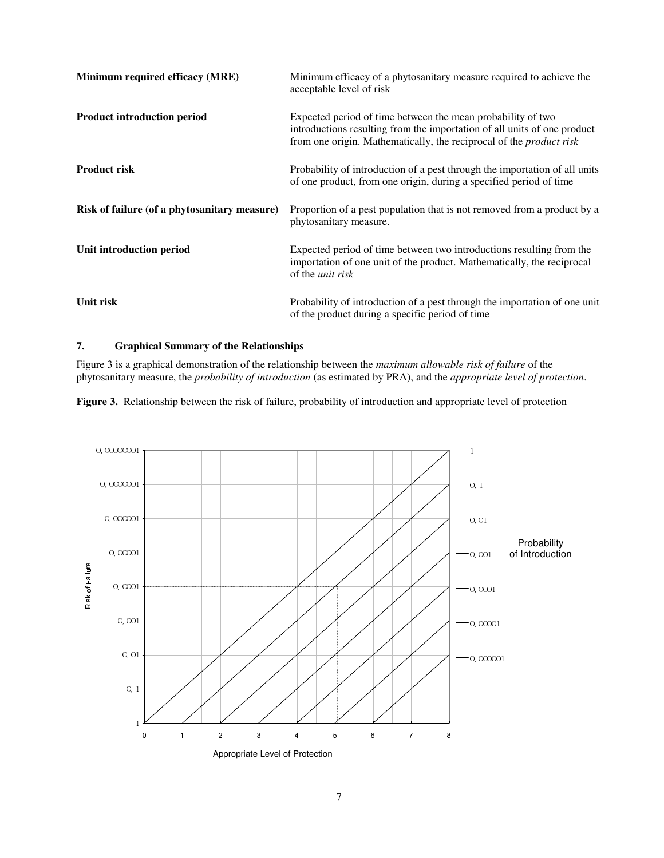| Minimum required efficacy (MRE)              | Minimum efficacy of a phytosanitary measure required to achieve the<br>acceptable level of risk                                                                                                                       |
|----------------------------------------------|-----------------------------------------------------------------------------------------------------------------------------------------------------------------------------------------------------------------------|
| <b>Product introduction period</b>           | Expected period of time between the mean probability of two<br>introductions resulting from the importation of all units of one product<br>from one origin. Mathematically, the reciprocal of the <i>product risk</i> |
| <b>Product risk</b>                          | Probability of introduction of a pest through the importation of all units<br>of one product, from one origin, during a specified period of time                                                                      |
| Risk of failure (of a phytosanitary measure) | Proportion of a pest population that is not removed from a product by a<br>phytosanitary measure.                                                                                                                     |
| Unit introduction period                     | Expected period of time between two introductions resulting from the<br>importation of one unit of the product. Mathematically, the reciprocal<br>of the <i>unit risk</i>                                             |
| Unit risk                                    | Probability of introduction of a pest through the importation of one unit<br>of the product during a specific period of time                                                                                          |

# **7. Graphical Summary of the Relationships**

Figure 3 is a graphical demonstration of the relationship between the *maximum allowable risk of failure* of the phytosanitary measure, the *probability of introduction* (as estimated by PRA), and the *appropriate level of protection*.

**Figure 3.** Relationship between the risk of failure, probability of introduction and appropriate level of protection